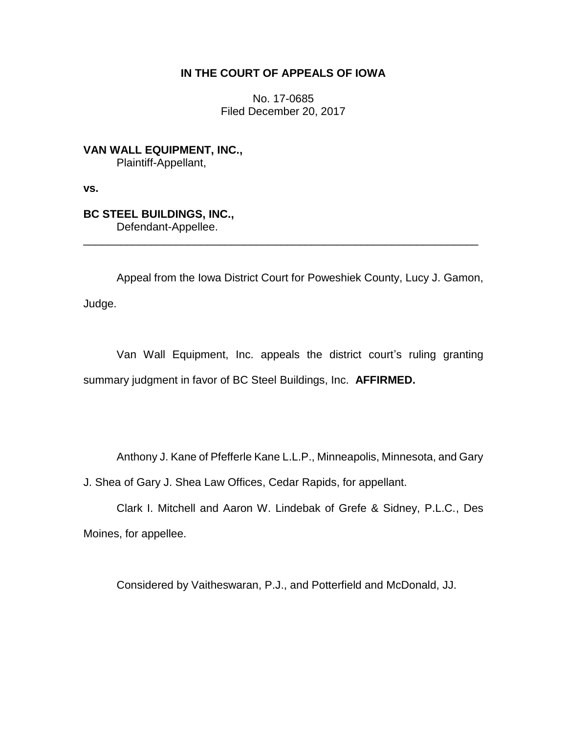# **IN THE COURT OF APPEALS OF IOWA**

No. 17-0685 Filed December 20, 2017

**VAN WALL EQUIPMENT, INC.,** Plaintiff-Appellant,

**vs.**

**BC STEEL BUILDINGS, INC.,** Defendant-Appellee.

Appeal from the Iowa District Court for Poweshiek County, Lucy J. Gamon, Judge.

\_\_\_\_\_\_\_\_\_\_\_\_\_\_\_\_\_\_\_\_\_\_\_\_\_\_\_\_\_\_\_\_\_\_\_\_\_\_\_\_\_\_\_\_\_\_\_\_\_\_\_\_\_\_\_\_\_\_\_\_\_\_\_\_

Van Wall Equipment, Inc. appeals the district court's ruling granting summary judgment in favor of BC Steel Buildings, Inc. **AFFIRMED.**

Anthony J. Kane of Pfefferle Kane L.L.P., Minneapolis, Minnesota, and Gary

J. Shea of Gary J. Shea Law Offices, Cedar Rapids, for appellant.

Clark I. Mitchell and Aaron W. Lindebak of Grefe & Sidney, P.L.C., Des Moines, for appellee.

Considered by Vaitheswaran, P.J., and Potterfield and McDonald, JJ.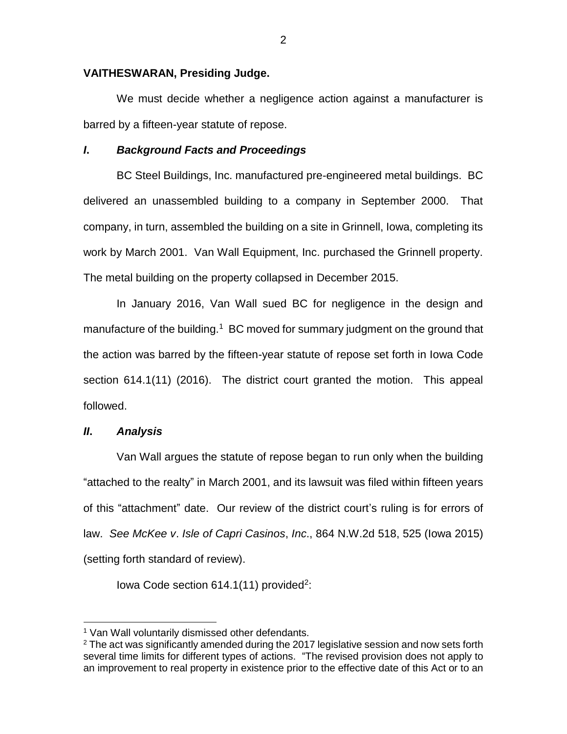### **VAITHESWARAN, Presiding Judge.**

We must decide whether a negligence action against a manufacturer is barred by a fifteen-year statute of repose.

## *I***.** *Background Facts and Proceedings*

BC Steel Buildings, Inc. manufactured pre-engineered metal buildings. BC delivered an unassembled building to a company in September 2000. That company, in turn, assembled the building on a site in Grinnell, Iowa, completing its work by March 2001. Van Wall Equipment, Inc. purchased the Grinnell property. The metal building on the property collapsed in December 2015.

In January 2016, Van Wall sued BC for negligence in the design and manufacture of the building.<sup>1</sup> BC moved for summary judgment on the ground that the action was barred by the fifteen-year statute of repose set forth in Iowa Code section 614.1(11) (2016). The district court granted the motion. This appeal followed.

### *II***.** *Analysis*

 $\overline{a}$ 

Van Wall argues the statute of repose began to run only when the building "attached to the realty" in March 2001, and its lawsuit was filed within fifteen years of this "attachment" date. Our review of the district court's ruling is for errors of law. *See McKee v*. *Isle of Capri Casinos*, *Inc*., 864 N.W.2d 518, 525 (Iowa 2015) (setting forth standard of review).

lowa Code section  $614.1(11)$  provided<sup>2</sup>:

<sup>&</sup>lt;sup>1</sup> Van Wall voluntarily dismissed other defendants.

 $2$  The act was significantly amended during the 2017 legislative session and now sets forth several time limits for different types of actions. "The revised provision does not apply to an improvement to real property in existence prior to the effective date of this Act or to an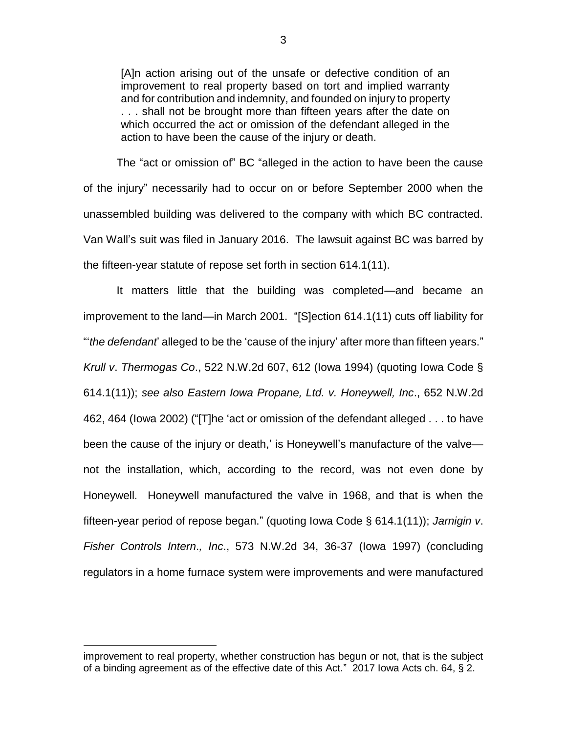[A]n action arising out of the unsafe or defective condition of an improvement to real property based on tort and implied warranty and for contribution and indemnity, and founded on injury to property ... shall not be brought more than fifteen years after the date on which occurred the act or omission of the defendant alleged in the action to have been the cause of the injury or death.

The "act or omission of" BC "alleged in the action to have been the cause of the injury" necessarily had to occur on or before September 2000 when the unassembled building was delivered to the company with which BC contracted. Van Wall's suit was filed in January 2016. The lawsuit against BC was barred by the fifteen-year statute of repose set forth in section 614.1(11).

It matters little that the building was completed—and became an improvement to the land—in March 2001. "[S]ection 614.1(11) cuts off liability for "'*the defendant*' alleged to be the 'cause of the injury' after more than fifteen years." *Krull v*. *Thermogas Co*., 522 N.W.2d 607, 612 (Iowa 1994) (quoting Iowa Code § 614.1(11)); *see also Eastern Iowa Propane, Ltd. v. Honeywell, Inc*., 652 N.W.2d 462, 464 (Iowa 2002) ("[T]he 'act or omission of the defendant alleged . . . to have been the cause of the injury or death,' is Honeywell's manufacture of the valve not the installation, which, according to the record, was not even done by Honeywell. Honeywell manufactured the valve in 1968, and that is when the fifteen-year period of repose began." (quoting Iowa Code § 614.1(11)); *Jarnigin v*. *Fisher Controls Intern*.*, Inc*., 573 N.W.2d 34, 36-37 (Iowa 1997) (concluding regulators in a home furnace system were improvements and were manufactured

 $\overline{a}$ 

improvement to real property, whether construction has begun or not, that is the subject of a binding agreement as of the effective date of this Act." 2017 Iowa Acts ch. 64, § 2.